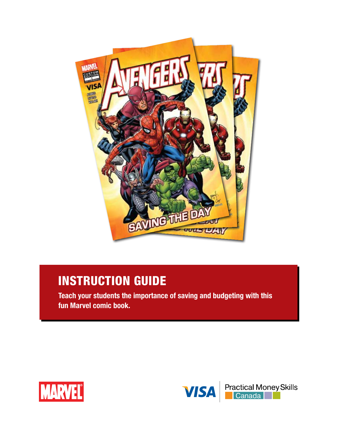

# Instruction Guide

**Teach your students the importance of saving and budgeting with this fun Marvel comic book.**



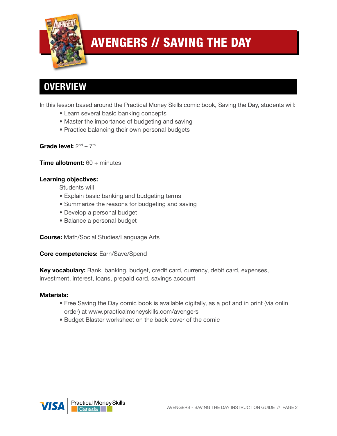

## **OVERVIEW**

In this lesson based around the Practical Money Skills comic book, Saving the Day, students will:

- Learn several basic banking concepts
- Master the importance of budgeting and saving
- Practice balancing their own personal budgets

#### Grade level:  $2^{nd} - 7^{th}$

**Time allotment:** 60 + minutes

#### **Learning objectives:**

Students will

- Explain basic banking and budgeting terms
- Summarize the reasons for budgeting and saving
- Develop a personal budget
- Balance a personal budget

**Course:** Math/Social Studies/Language Arts

**Core competencies:** Earn/Save/Spend

**Key vocabulary:** Bank, banking, budget, credit card, currency, debit card, expenses, investment, interest, loans, prepaid card, savings account

#### **Materials:**

- Free Saving the Day comic book is available digitally, as a pdf and in print (via onlin order) at www.practicalmoneyskills.com/avengers
- Budget Blaster worksheet on the back cover of the comic

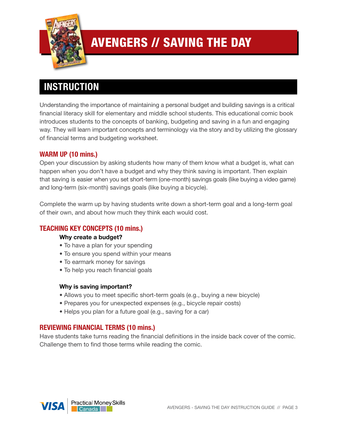

## **INSTRUCTION**

Understanding the importance of maintaining a personal budget and building savings is a critical financial literacy skill for elementary and middle school students. This educational comic book introduces students to the concepts of banking, budgeting and saving in a fun and engaging way. They will learn important concepts and terminology via the story and by utilizing the glossary of financial terms and budgeting worksheet.

### **WARM UP (10 mins.)**

Open your discussion by asking students how many of them know what a budget is, what can happen when you don't have a budget and why they think saving is important. Then explain that saving is easier when you set short-term (one-month) savings goals (like buying a video game) and long-term (six-month) savings goals (like buying a bicycle).

Complete the warm up by having students write down a short-term goal and a long-term goal of their own, and about how much they think each would cost.

### **TEACHING KEY CONCEPTS (10 mins.)**

#### **Why create a budget?**

- To have a plan for your spending
- To ensure you spend within your means
- To earmark money for savings
- To help you reach financial goals

#### **Why is saving important?**

- Allows you to meet specific short-term goals (e.g., buying a new bicycle)
- Prepares you for unexpected expenses (e.g., bicycle repair costs)
- Helps you plan for a future goal (e.g., saving for a car)

#### **REVIEWING FINANCIAL TERMS (10 mins.)**

Have students take turns reading the financial definitions in the inside back cover of the comic. Challenge them to find those terms while reading the comic.

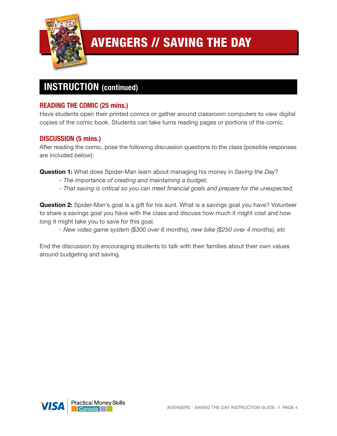

## **Instruction (continued)**

### **READING THE COMIC (25 mins.)**

Have students open their printed comics or gather around classroom computers to view digital copies of the comic book. Students can take turns reading pages or portions of the comic.

### **DISCUSSION (5 mins.)**

After reading the comic, pose the following discussion questions to the class (possible responses are included below):

**Question 1:** What does Spider-Man learn about managing his money in *Saving the Day*?

- *The importance of creating and maintaining a budget.*
- *- That saving is critical so you can meet financial goals and prepare for the unexpected.*

**Question 2:** Spider-Man's goal is a gift for his aunt. What is a savings goal you have? Volunteer to share a savings goal you have with the class and discuss how much it might cost and how long it might take you to save for this goal.

*- New video game system (\$300 over 6 months), new bike (\$250 over 4 months), etc*

End the discussion by encouraging students to talk with their families about their own values around budgeting and saving.